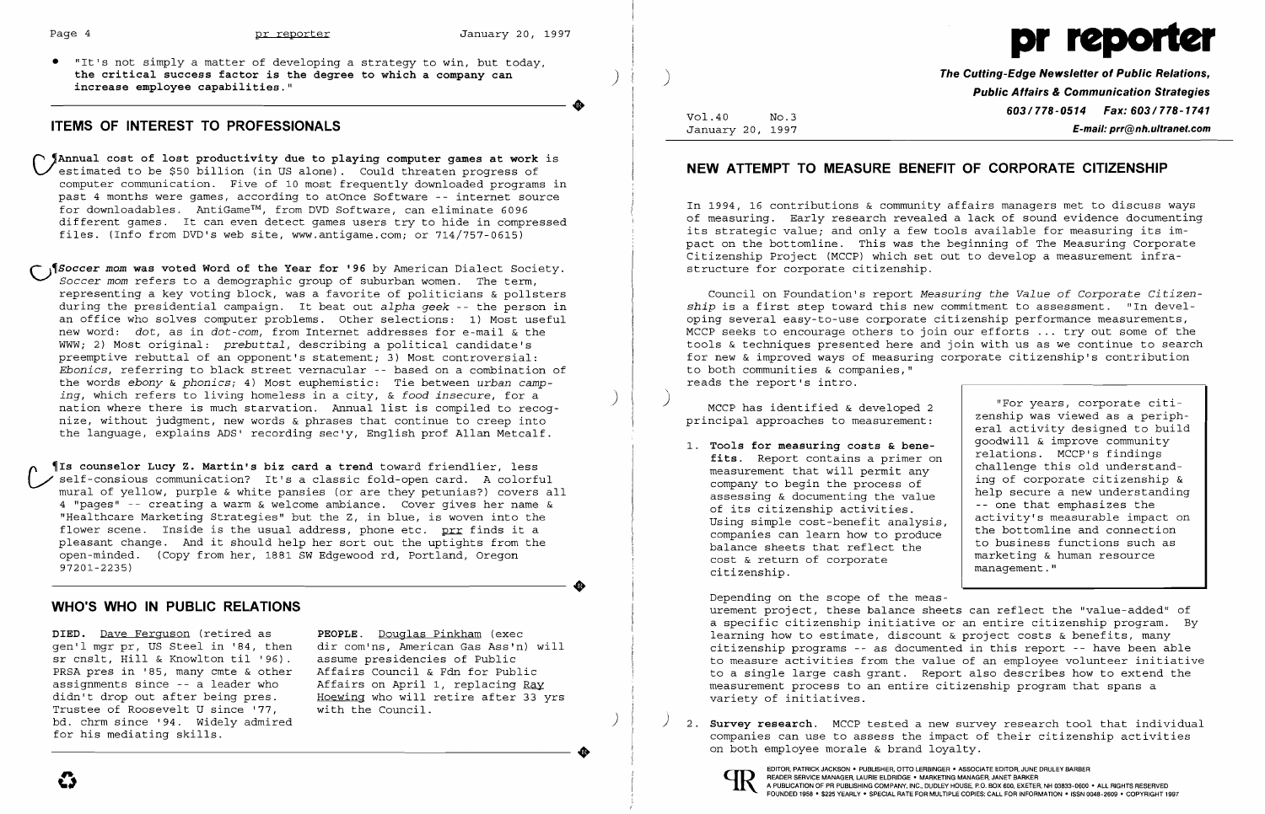

• "It's not simply a matter of developing a strategy to win, but today, the critical success factor is the degree to which a company can<br>increase employee capabilities." ( Capabilities and a company can and a company of the Cutting-Edge Newsletter of Public Aelations,

### **ITEMS OF INTEREST TO PROFESSIONALS**

~Annual **cost of lost productivity due to playing computer games at work** is estimated to be \$50 billion (in US alone). Could threaten progress of computer communication. Five of 10 most frequently downloaded programs in past 4 months were games, according to atOnce Software -- internet source for downloadables. AntiGame™, from DVD Software, can eliminate 6096 for downloadables. AntiGame™, from DVD Software, can eliminate 6096<br>different games. It can even detect games users try to hide in compressed files. (Info from DVD's web site, www.antigame.com; or 714/757-0615)

**Soccer mom was voted Word of the Year for '96** by American Dialect Society. *Soccer mom* refers to a demographic group of suburban women. The term, representing a key voting block, was a favorite of politicians & pollsters during the presidential campaign. It beat out *alpha geek* -- the person in an office who solves computer problems. Other selections: 1) Most useful new word: *dot,* as in *dot-com,* from Internet addresses for e-mail & the WWW; 2) Most original: *prebuttal,* describing a political candidate's preemptive rebuttal of an opponent's statement; 3) Most controversial: *Ebonies,* referring to black street vernacular -- based on a combination of the words *ebony* & *phonics;* 4) Most euphemistic: Tie between *urban camping,* which refers to living homeless in a city, & *food insecure*, for a *nation where there is much starvation.* Annual list is compiled to recognize, without judgment, new words & phrases that continue to creep into the language, explains ADS' recording sec'y, English prof Allan Metcalf.

**TIs counselor Lucy Z. Martin's biz card a trend** toward friendlier, less self-consious communication? It's a classic fold-open card. A colorful mural of yellow, purple & white pansies (or are they petunias?) covers all 4 "pages" -- creating a warm & welcome ambiance. Cover gives her name & "Healthcare Marketing Strategies" but the z, in blue, is woven into the flower scene. Inside is the usual address, phone etc. prr finds it a pleasant change. And it should help her sort out the uptights from the open-minded. (Copy from her, 1881 SW Edgewood rd, Portland, Oregon 97201-2235)

**DIED.** Dave Ferguson (retired as **PEOPLE.** Douglas Pinkham (exec sr cnslt, Hill & Knowlton til '96). assume presidencies of Public<br>PRSA pres in '85, many cmte & other Affairs Council & Fdn for Public PRSA pres in '85, many cmte & other Affairs Council & Fdn for Public assignments since -- a leader who Affairs on April 1, replacing Ray assignments since -- a leader who<br>didn't drop out after being pres. Trustee of Roosevelt U since '77, bd. chrm since '94. Widely admired<br>for his mediating skills.

gen'l mgr pr, US Steel in '84, then dir com'ns, American Gas Ass'n) will<br>sr cnslt, Hill & Knowlton til '96). assume presidencies of Public Hoewing who will retire after 33 yrs.<br>with the Council.

 $\bullet$ 

Public Affairs & Communication Strategies<br>778-1741 Fax: 603/778-1741 Fax: 603/778-1741 Vol.40 No.3 January 20, 1997 **E-mail: prr@nh.ultranel.com** 

### **WHO'S WHO IN PUBLIC RELATIONS**

) 2. **Survey research.** MCCP tested a new survey research tool that individual companies can use to assess the impact of their citizenship activities

## **NEW ATTEMPT TO MEASURE BENEFIT OF CORPORATE CITIZENSHIP**

In 1994, 16 contributions & community affairs managers met to discuss ways of measuring. Early research revealed a lack of sound evidence documenting its strategic value; and only a few tools available for measuring its impact on the bottomline. This was the beginning of The Measuring Corporate Citizenship Project (MCCP) which set out to develop a measurement infrastructure for corporate citizenship.

Council on Foundation's report *Measuring the Value* of *Corporate Citizenship* is a first step toward this new commitment to assessment. "In developing several easy-to-use corporate citizenship performance measurements, MCCP seeks to encourage others to join our efforts ... tryout some of the tools & techniques presented here and join with us as we continue to search for new & improved ways of measuring corporate citizenship's contribution to both communities & companies," reads the report's intro.

MCCP has identified & developed 2  $\parallel$  "For years, corporate citi-<br>rainel ennuacebes to measurement. <br>zenship was viewed as a peripheral activity designed to build<br>goodwill & improve community fits. Report contains a primer on  $\begin{array}{|l|} \hline \text{relations.} & \text{MCCP's findings} \\ \text{the most possible possible} \\ \hline \end{array}$ measurement that will permit any indicate this old understand-<br>company to begin the process of ing of corporate citizenship &<br>according to documenting the uplus assessing & documenting the value  $\begin{array}{c|c} \text{help} \text{ secure} \text{ a new understanding} \\ \text{of its citizenship activities.} \\ \text{Heinz stimulus cost has a activityity's measurable impact on} \end{array}$ Using simple cost-benefit analysis,<br>
companies can learn how to produce<br>
balance sheets that reflect the<br>
cost & return of corporate<br>
balance sheets that reflect the<br>
marketing & human resource ximate sheets that ferrete the marketing & human resource cost & return of corporate management."

principal approaches to measurement: 1. **Tools for measuring costs & bene-** <br>**1. Tools for measuring costs & bene- 1.** Pelations. MCCP's findings

Depending on the scope of the measurement project, these balance sheets can reflect the "value-added" of a specific citizenship initiative or an entire citizenship program. By learning how to estimate, discount & project costs & benefits, many citizenship programs -- as documented in this report -- have been able to measure activities from the value of an employee volunteer initiative to a single large cash grant. Report also describes how to extend the measurement process to an entire citizenship program that spans a variety of initiatives.

on both employee morale & brand loyalty.